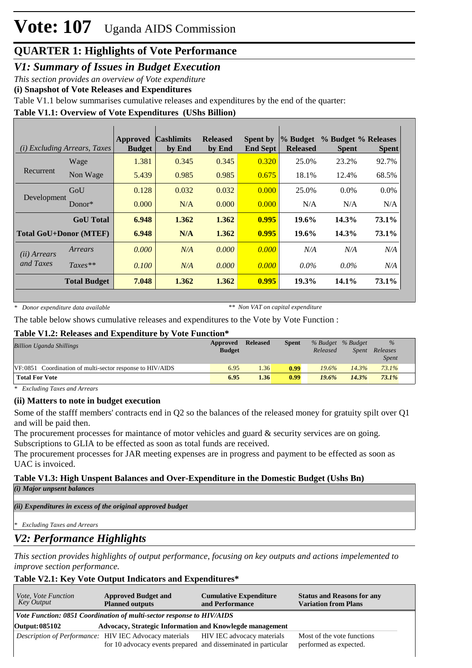*V1: Summary of Issues in Budget Execution*

*This section provides an overview of Vote expenditure* 

**(i) Snapshot of Vote Releases and Expenditures**

Table V1.1 below summarises cumulative releases and expenditures by the end of the quarter:

#### **Table V1.1: Overview of Vote Expenditures (UShs Billion)**

| (i) Excluding Arrears, Taxes |                               | <b>Approved</b><br><b>Budget</b> | <b>Cashlimits</b><br>by End | <b>Released</b><br>by End | <b>Spent by</b><br><b>End Sept</b> | $\%$ Budget<br><b>Released</b> | % Budget % Releases<br><b>Spent</b> | <b>Spent</b> |
|------------------------------|-------------------------------|----------------------------------|-----------------------------|---------------------------|------------------------------------|--------------------------------|-------------------------------------|--------------|
| Recurrent                    | Wage                          | 1.381                            | 0.345                       | 0.345                     | 0.320                              | 25.0%                          | 23.2%                               | 92.7%        |
|                              | Non Wage                      | 5.439                            | 0.985                       | 0.985                     | 0.675                              | 18.1%                          | 12.4%                               | 68.5%        |
| Development                  | GoU                           | 0.128                            | 0.032                       | 0.032                     | 0.000                              | 25.0%                          | $0.0\%$                             | $0.0\%$      |
|                              | $Donor*$                      | 0.000                            | N/A                         | 0.000                     | 0.000                              | N/A                            | N/A                                 | N/A          |
|                              | <b>GoU</b> Total              | 6.948                            | 1.362                       | 1.362                     | 0.995                              | $19.6\%$                       | 14.3%                               | 73.1%        |
|                              | <b>Total GoU+Donor (MTEF)</b> | 6.948                            | N/A                         | 1.362                     | 0.995                              | $19.6\%$                       | 14.3%                               | 73.1%        |
| ( <i>ii</i> ) Arrears        | Arrears                       | 0.000                            | N/A                         | 0.000                     | 0.000                              | N/A                            | N/A                                 | N/A          |
| and Taxes                    | $Taxes**$                     | 0.100                            | N/A                         | 0.000                     | 0.000                              | $0.0\%$                        | $0.0\%$                             | N/A          |
|                              | <b>Total Budget</b>           | 7.048                            | 1.362                       | 1.362                     | 0.995                              | 19.3%                          | 14.1%                               | 73.1%        |

*\* Donor expenditure data available*

*\*\* Non VAT on capital expenditure*

The table below shows cumulative releases and expenditures to the Vote by Vote Function :

#### **Table V1.2: Releases and Expenditure by Vote Function\***

| <b>Billion Uganda Shillings</b>                           | Approved<br><b>Budget</b> | <b>Released</b> | <b>Spent</b> | Released | % Budget % Budget<br><i>Spent</i> | $\frac{9}{6}$<br>Releases<br><b>Spent</b> |
|-----------------------------------------------------------|---------------------------|-----------------|--------------|----------|-----------------------------------|-------------------------------------------|
| VF:0851 Coordination of multi-sector response to HIV/AIDS | 6.95                      | 1.36            | 0.99         | 19.6%    | 14.3%                             | 73.1%                                     |
| <b>Total For Vote</b>                                     | 6.95                      | 1.36            | 0.99         | 19.6%    | 14.3%                             | $73.1\%$                                  |

*\* Excluding Taxes and Arrears*

#### **(ii) Matters to note in budget execution**

Some of the stafff members' contracts end in Q2 so the balances of the released money for gratuity spilt over Q1 and will be paid then.

The procurement processes for maintance of motor vehicles and guard  $\&$  security services are on going. Subscriptions to GLIA to be effected as soon as total funds are received.

The procurement processes for JAR meeting expenses are in progress and payment to be effected as soon as UAC is invoiced.

### **Table V1.3: High Unspent Balances and Over-Expenditure in the Domestic Budget (Ushs Bn)**

*(i) Major unpsent balances*

*(ii) Expenditures in excess of the original approved budget*

*\* Excluding Taxes and Arrears*

### *V2: Performance Highlights*

*This section provides highlights of output performance, focusing on key outputs and actions impelemented to improve section performance.*

#### **Table V2.1: Key Vote Output Indicators and Expenditures\***

| <i>Vote, Vote Function</i><br>Key Output | <b>Approved Budget and</b><br><b>Planned outputs</b>                                                                                                       | <b>Cumulative Expenditure</b><br>and Performance | <b>Status and Reasons for any</b><br><b>Variation from Plans</b> |  |  |  |  |  |  |
|------------------------------------------|------------------------------------------------------------------------------------------------------------------------------------------------------------|--------------------------------------------------|------------------------------------------------------------------|--|--|--|--|--|--|
|                                          | Vote Function: 0851 Coordination of multi-sector response to HIV/AIDS                                                                                      |                                                  |                                                                  |  |  |  |  |  |  |
| Output: 085102                           | Advocacy, Strategic Information and Knowlegde management                                                                                                   |                                                  |                                                                  |  |  |  |  |  |  |
|                                          | <i>Description of Performance:</i> HIV IEC Advocacy materials HIV IEC advocacy materials<br>for 10 advocacy events prepared and disseminated in particular |                                                  | Most of the vote functions<br>performed as expected.             |  |  |  |  |  |  |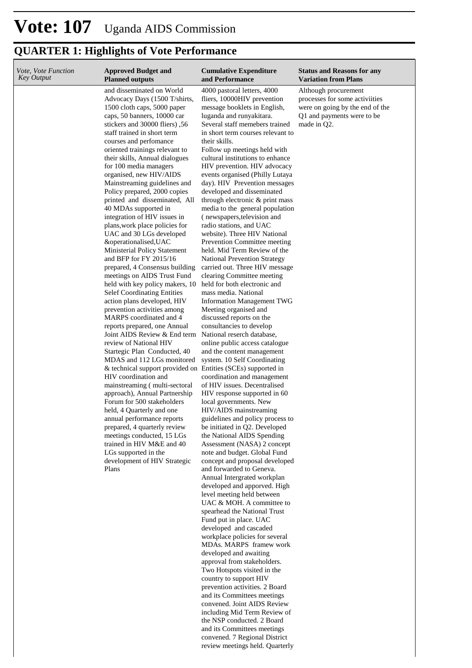| Vote, Vote Function<br>Key Output | <b>Approved Budget and</b><br><b>Planned outputs</b>                                                                                                                                                                                                                                                                                                                                                                                                                                                                                                                                                                                                                                                                                                                                                                                                                                                                                                                                                                                                                                                                                                                                                                                                                                                                                                                                                                                       | <b>Cumulative Expenditure</b><br>and Performance                                                                                                                                                                                                                                                                                                                                                                                                                                                                                                                                                                                                                                                                                                                                                                                                                                                                                                                                                                                                                                                                                                                                                                                                                                                                                                                                                                                                                                                                                                                                                                                                                                                                                                                                                                                                                                                                          | <b>Status and Reasons for any</b><br><b>Variation from Plans</b>                                                                       |
|-----------------------------------|--------------------------------------------------------------------------------------------------------------------------------------------------------------------------------------------------------------------------------------------------------------------------------------------------------------------------------------------------------------------------------------------------------------------------------------------------------------------------------------------------------------------------------------------------------------------------------------------------------------------------------------------------------------------------------------------------------------------------------------------------------------------------------------------------------------------------------------------------------------------------------------------------------------------------------------------------------------------------------------------------------------------------------------------------------------------------------------------------------------------------------------------------------------------------------------------------------------------------------------------------------------------------------------------------------------------------------------------------------------------------------------------------------------------------------------------|---------------------------------------------------------------------------------------------------------------------------------------------------------------------------------------------------------------------------------------------------------------------------------------------------------------------------------------------------------------------------------------------------------------------------------------------------------------------------------------------------------------------------------------------------------------------------------------------------------------------------------------------------------------------------------------------------------------------------------------------------------------------------------------------------------------------------------------------------------------------------------------------------------------------------------------------------------------------------------------------------------------------------------------------------------------------------------------------------------------------------------------------------------------------------------------------------------------------------------------------------------------------------------------------------------------------------------------------------------------------------------------------------------------------------------------------------------------------------------------------------------------------------------------------------------------------------------------------------------------------------------------------------------------------------------------------------------------------------------------------------------------------------------------------------------------------------------------------------------------------------------------------------------------------------|----------------------------------------------------------------------------------------------------------------------------------------|
|                                   | and disseminated on World<br>Advocacy Days (1500 T/shirts,<br>1500 cloth caps, 5000 paper<br>caps, 50 banners, 10000 car<br>stickers and 30000 fliers), 56<br>staff trained in short term<br>courses and perfomance<br>oriented trainings relevant to<br>their skills, Annual dialogues<br>for 100 media managers<br>organised, new HIV/AIDS<br>Mainstreaming guidelines and<br>Policy prepared, 2000 copies<br>printed and disseminated, All<br>40 MDAs supported in<br>integration of HIV issues in<br>plans, work place policies for<br>UAC and 30 LGs developed<br>&operationalised, UAC<br><b>Ministerial Policy Statement</b><br>and BFP for FY 2015/16<br>prepared, 4 Consensus building<br>meetings on AIDS Trust Fund<br>held with key policy makers, 10<br><b>Selef Coordinating Entities</b><br>action plans developed, HIV<br>prevention activities among<br>MARPS coordinated and 4<br>reports prepared, one Annual<br>Joint AIDS Review & End term<br>review of National HIV<br>Startegic Plan Conducted, 40<br>MDAS and 112 LGs monitored<br>& technical support provided on<br>HIV coordination and<br>mainstreaming (multi-sectoral<br>approach), Annual Partnership<br>Forum for 500 stakeholders<br>held, 4 Quarterly and one<br>annual performance reports<br>prepared, 4 quarterly review<br>meetings conducted, 15 LGs<br>trained in HIV M&E and 40<br>LGs supported in the<br>development of HIV Strategic<br>Plans | 4000 pastoral letters, 4000<br>fliers, 10000HIV prevention<br>message booklets in English,<br>luganda and runyakitara.<br>Several staff memebers trained<br>in short term courses relevant to<br>their skills.<br>Follow up meetings held with<br>cultural institutions to enhance<br>HIV prevention. HIV advocacy<br>events organised (Philly Lutaya<br>day). HIV Prevention messages<br>developed and disseminated<br>through electronic & print mass<br>media to the general population<br>(newspapers, television and<br>radio stations, and UAC<br>website). Three HIV National<br>Prevention Committee meeting<br>held. Mid Term Review of the<br><b>National Prevention Strategy</b><br>carried out. Three HIV message<br>clearing Committee meeting<br>held for both electronic and<br>mass media. National<br><b>Information Management TWG</b><br>Meeting organised and<br>discussed reports on the<br>consultancies to develop<br>National reserch database,<br>online public access catalogue<br>and the content management<br>system. 10 Self Coordinating<br>Entities (SCEs) supported in<br>coordination and management<br>of HIV issues. Decentralised<br>HIV response supported in 60<br>local governments. New<br>HIV/AIDS mainstreaming<br>guidelines and policy process to<br>be initiated in Q2. Developed<br>the National AIDS Spending<br>Assessment (NASA) 2 concept<br>note and budget. Global Fund<br>concept and proposal developed<br>and forwarded to Geneva.<br>Annual Intergrated workplan<br>developed and apporved. High<br>level meeting held between<br>UAC & MOH. A committee to<br>spearhead the National Trust<br>Fund put in place. UAC<br>developed and cascaded<br>workplace policies for several<br>MDAs. MARPS framew work<br>developed and awaiting<br>approval from stakeholders.<br>Two Hotspots visited in the<br>country to support HIV<br>prevention activities. 2 Board | Although procurement<br>processes for some activiities<br>were on going by the end of the<br>Q1 and payments were to be<br>made in Q2. |
|                                   |                                                                                                                                                                                                                                                                                                                                                                                                                                                                                                                                                                                                                                                                                                                                                                                                                                                                                                                                                                                                                                                                                                                                                                                                                                                                                                                                                                                                                                            | and its Committees meetings<br>convened. Joint AIDS Review<br>including Mid Term Review of<br>the NSP conducted. 2 Board                                                                                                                                                                                                                                                                                                                                                                                                                                                                                                                                                                                                                                                                                                                                                                                                                                                                                                                                                                                                                                                                                                                                                                                                                                                                                                                                                                                                                                                                                                                                                                                                                                                                                                                                                                                                  |                                                                                                                                        |
|                                   |                                                                                                                                                                                                                                                                                                                                                                                                                                                                                                                                                                                                                                                                                                                                                                                                                                                                                                                                                                                                                                                                                                                                                                                                                                                                                                                                                                                                                                            | and its Committees meetings<br>convened. 7 Regional District<br>review meetings held. Quarterly                                                                                                                                                                                                                                                                                                                                                                                                                                                                                                                                                                                                                                                                                                                                                                                                                                                                                                                                                                                                                                                                                                                                                                                                                                                                                                                                                                                                                                                                                                                                                                                                                                                                                                                                                                                                                           |                                                                                                                                        |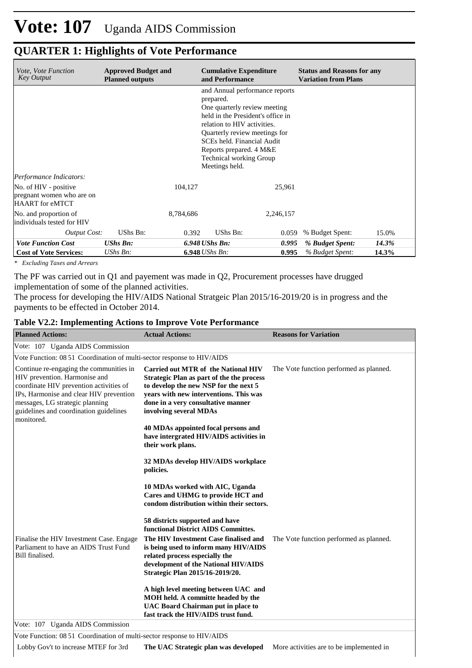| <i>Vote, Vote Function</i><br><b>Key Output</b>                              | <b>Approved Budget and</b><br><b>Planned outputs</b> |                  | <b>Cumulative Expenditure</b><br>and Performance                                                                                                                                                                                                                                              |           | <b>Status and Reasons for any</b><br><b>Variation from Plans</b> |       |  |
|------------------------------------------------------------------------------|------------------------------------------------------|------------------|-----------------------------------------------------------------------------------------------------------------------------------------------------------------------------------------------------------------------------------------------------------------------------------------------|-----------|------------------------------------------------------------------|-------|--|
|                                                                              |                                                      |                  | and Annual performance reports<br>prepared.<br>One quarterly review meeting<br>held in the President's office in<br>relation to HIV activities.<br>Quarterly review meetings for<br>SCEs held. Financial Audit<br>Reports prepared. 4 M&E<br><b>Technical working Group</b><br>Meetings held. |           |                                                                  |       |  |
| Performance Indicators:                                                      |                                                      |                  |                                                                                                                                                                                                                                                                                               |           |                                                                  |       |  |
| No. of HIV - positive<br>pregnant women who are on<br><b>HAART</b> for eMTCT |                                                      | 104,127          |                                                                                                                                                                                                                                                                                               | 25,961    |                                                                  |       |  |
| No. and proportion of<br>individuals tested for HIV                          |                                                      | 8,784,686        |                                                                                                                                                                                                                                                                                               | 2,246,157 |                                                                  |       |  |
| <b>Output Cost:</b>                                                          | UShs Bn:                                             | 0.392            | UShs Bn:                                                                                                                                                                                                                                                                                      | 0.059     | % Budget Spent:                                                  | 15.0% |  |
| <b>Vote Function Cost</b>                                                    | <b>UShs Bn:</b>                                      |                  | $6.948$ UShs Bn:<br>0.995                                                                                                                                                                                                                                                                     |           | % Budget Spent:                                                  | 14.3% |  |
| <b>Cost of Vote Services:</b>                                                | $UShs Bn$ :                                          | $6.948$ UShs Bn: |                                                                                                                                                                                                                                                                                               | 0.995     | % Budget Spent:                                                  | 14.3% |  |

*\* Excluding Taxes and Arrears*

The PF was carried out in Q1 and payement was made in Q2, Procurement processes have drugged implementation of some of the planned activities.

The process for developing the HIV/AIDS National Stratgeic Plan 2015/16-2019/20 is in progress and the payments to be effected in October 2014.

#### **Table V2.2: Implementing Actions to Improve Vote Performance**

| <b>Planned Actions:</b>                                                                                                                                                                                                                                   | <b>Actual Actions:</b>                                                                                                                                                                                                              | <b>Reasons for Variation</b>             |
|-----------------------------------------------------------------------------------------------------------------------------------------------------------------------------------------------------------------------------------------------------------|-------------------------------------------------------------------------------------------------------------------------------------------------------------------------------------------------------------------------------------|------------------------------------------|
| Vote: 107 Uganda AIDS Commission                                                                                                                                                                                                                          |                                                                                                                                                                                                                                     |                                          |
| Vote Function: 08 51 Coordination of multi-sector response to HIV/AIDS                                                                                                                                                                                    |                                                                                                                                                                                                                                     |                                          |
| Continue re-engaging the communities in<br>HIV prevention. Harmonise and<br>coordinate HIV prevention activities of<br>IPs, Harmonise and clear HIV prevention<br>messages, LG strategic planning<br>guidelines and coordination guidelines<br>monitored. | Carried out MTR of the National HIV<br>Strategic Plan as part of the the process<br>to develop the new NSP for the next 5<br>years with new interventions. This was<br>done in a very consultative manner<br>involving several MDAs | The Vote function performed as planned.  |
|                                                                                                                                                                                                                                                           | 40 MDAs appointed focal persons and<br>have intergrated HIV/AIDS activities in<br>their work plans.                                                                                                                                 |                                          |
|                                                                                                                                                                                                                                                           | 32 MDAs develop HIV/AIDS workplace<br>policies.                                                                                                                                                                                     |                                          |
|                                                                                                                                                                                                                                                           | 10 MDAs worked with AIC, Uganda<br>Cares and UHMG to provide HCT and<br>condom distribution within their sectors.                                                                                                                   |                                          |
|                                                                                                                                                                                                                                                           | 58 districts supported and have<br>functional District AIDS Committes.                                                                                                                                                              |                                          |
| Finalise the HIV Investment Case. Engage<br>Parliament to have an AIDS Trust Fund<br>Bill finalised.                                                                                                                                                      | The HIV Investment Case finalised and<br>is being used to inform many HIV/AIDS<br>related process especially the<br>development of the National HIV/AIDS<br>Strategic Plan 2015/16-2019/20.                                         | The Vote function performed as planned.  |
|                                                                                                                                                                                                                                                           | A high level meeting between UAC and<br>MOH held. A committe headed by the<br>UAC Board Chairman put in place to<br>fast track the HIV/AIDS trust fund.                                                                             |                                          |
| Vote: 107 Uganda AIDS Commission                                                                                                                                                                                                                          |                                                                                                                                                                                                                                     |                                          |
| Vote Function: 08 51 Coordination of multi-sector response to HIV/AIDS                                                                                                                                                                                    |                                                                                                                                                                                                                                     |                                          |
| Lobby Gov't to increase MTEF for 3rd                                                                                                                                                                                                                      | The UAC Strategic plan was developed                                                                                                                                                                                                | More activities are to be implemented in |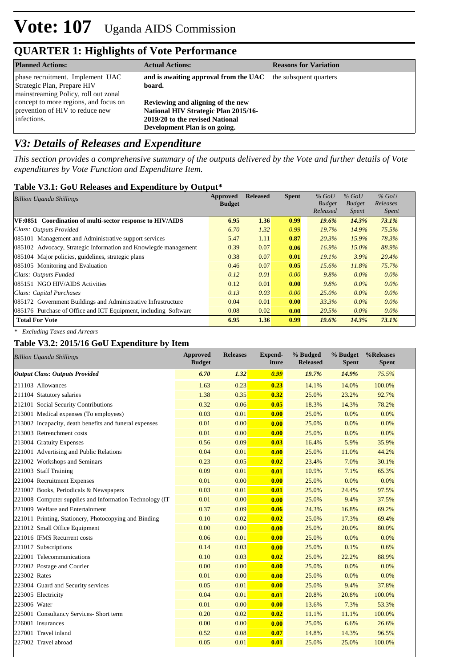| <b>Planned Actions:</b>                                                                                 | <b>Actual Actions:</b>                                                                                                                               | <b>Reasons for Variation</b> |
|---------------------------------------------------------------------------------------------------------|------------------------------------------------------------------------------------------------------------------------------------------------------|------------------------------|
| phase recruitment. Implement UAC<br>Strategic Plan, Prepare HIV<br>mainstreaming Policy, roll out zonal | and is awaiting approval from the UAC the subsquent quarters<br>board.                                                                               |                              |
| concept to more regions, and focus on<br>prevention of HIV to reduce new<br>infections.                 | Reviewing and aligning of the new<br><b>National HIV Strategic Plan 2015/16-</b><br>2019/20 to the revised National<br>Development Plan is on going. |                              |

### *V3: Details of Releases and Expenditure*

*This section provides a comprehensive summary of the outputs delivered by the Vote and further details of Vote expenditures by Vote Function and Expenditure Item.*

#### **Table V3.1: GoU Releases and Expenditure by Output\***

| <b>Billion Uganda Shillings</b>                                 | Approved<br><b>Budget</b> | <b>Released</b> | <b>Spent</b> | $%$ GoU<br><b>Budget</b> | $%$ GoU<br><b>Budget</b> | $%$ GoU<br>Releases |  |
|-----------------------------------------------------------------|---------------------------|-----------------|--------------|--------------------------|--------------------------|---------------------|--|
|                                                                 |                           |                 |              | Released                 | <i>Spent</i>             | <i>Spent</i>        |  |
| VF:0851 Coordination of multi-sector response to HIV/AIDS       | 6.95                      | 1.36            | 0.99         | 19.6%                    | 14.3%                    | 73.1%               |  |
| Class: Outputs Provided                                         | 6.70                      | 1.32            | 0.99         | 19.7%                    | 14.9%                    | 75.5%               |  |
| 085101 Management and Administrative support services           | 5.47                      | 1.11            | 0.87         | 20.3%                    | 15.9%                    | 78.3%               |  |
| 085102 Advocacy, Strategic Information and Knowlegde management | 0.39                      | 0.07            | 0.06         | $16.9\%$                 | $15.0\%$                 | 88.9%               |  |
| 085104 Major policies, guidelines, strategic plans              | 0.38                      | 0.07            | 0.01         | $19.1\%$                 | 3.9%                     | 20.4%               |  |
| 085105 Monitoring and Evaluation                                | 0.46                      | 0.07            | 0.05         | $15.6\%$                 | 11.8%                    | 75.7%               |  |
| Class: Outputs Funded                                           | 0.12                      | 0.01            | 0.00         | 9.8%                     | $0.0\%$                  | $0.0\%$             |  |
| 085151 NGO HIV/AIDS Activities                                  | 0.12                      | 0.01            | 0.00         | 9.8%                     | $0.0\%$                  | $0.0\%$             |  |
| Class: Capital Purchases                                        | 0.13                      | 0.03            | 0.00         | $25.0\%$                 | $0.0\%$                  | $0.0\%$             |  |
| 085172 Government Buildings and Administrative Infrastructure   | 0.04                      | 0.01            | 0.00         | 33.3%                    | $0.0\%$                  | $0.0\%$             |  |
| 085176 Purchase of Office and ICT Equipment, including Software | 0.08                      | 0.02            | 0.00         | 20.5%                    | $0.0\%$                  | $0.0\%$             |  |
| <b>Total For Vote</b>                                           | 6.95                      | 1.36            | 0.99         | 19.6%                    | 14.3%                    | 73.1%               |  |

*\* Excluding Taxes and Arrears*

#### **Table V3.2: 2015/16 GoU Expenditure by Item**

| <b>Billion Uganda Shillings</b>                          | <b>Approved</b><br><b>Budget</b> | <b>Releases</b> | Expend-<br>iture | % Budged<br><b>Released</b> | % Budget<br><b>Spent</b> | %Releases<br><b>Spent</b> |
|----------------------------------------------------------|----------------------------------|-----------------|------------------|-----------------------------|--------------------------|---------------------------|
| <b>Output Class: Outputs Provided</b>                    | 6.70                             | 1.32            | 0.99             | 19.7%                       | 14.9%                    | 75.5%                     |
| 211103 Allowances                                        | 1.63                             | 0.23            | 0.23             | 14.1%                       | 14.0%                    | 100.0%                    |
| 211104 Statutory salaries                                | 1.38                             | 0.35            | 0.32             | 25.0%                       | 23.2%                    | 92.7%                     |
| 212101 Social Security Contributions                     | 0.32                             | 0.06            | 0.05             | 18.3%                       | 14.3%                    | 78.2%                     |
| 213001 Medical expenses (To employees)                   | 0.03                             | 0.01            | 0.00             | 25.0%                       | 0.0%                     | 0.0%                      |
| 213002 Incapacity, death benefits and funeral expenses   | 0.01                             | 0.00            | 0.00             | 25.0%                       | 0.0%                     | 0.0%                      |
| 213003 Retrenchment costs                                | 0.01                             | 0.00            | 0.00             | 25.0%                       | 0.0%                     | 0.0%                      |
| 213004 Gratuity Expenses                                 | 0.56                             | 0.09            | 0.03             | 16.4%                       | 5.9%                     | 35.9%                     |
| 221001 Advertising and Public Relations                  | 0.04                             | 0.01            | 0.00             | 25.0%                       | 11.0%                    | 44.2%                     |
| 221002 Workshops and Seminars                            | 0.23                             | 0.05            | 0.02             | 23.4%                       | 7.0%                     | 30.1%                     |
| 221003 Staff Training                                    | 0.09                             | 0.01            | 0.01             | 10.9%                       | 7.1%                     | 65.3%                     |
| 221004 Recruitment Expenses                              | 0.01                             | 0.00            | 0.00             | 25.0%                       | 0.0%                     | 0.0%                      |
| 221007 Books, Periodicals & Newspapers                   | 0.03                             | 0.01            | 0.01             | 25.0%                       | 24.4%                    | 97.5%                     |
| 221008 Computer supplies and Information Technology (IT) | 0.01                             | 0.00            | 0.00             | 25.0%                       | 9.4%                     | 37.5%                     |
| 221009 Welfare and Entertainment                         | 0.37                             | 0.09            | 0.06             | 24.3%                       | 16.8%                    | 69.2%                     |
| 221011 Printing, Stationery, Photocopying and Binding    | 0.10                             | 0.02            | 0.02             | 25.0%                       | 17.3%                    | 69.4%                     |
| 221012 Small Office Equipment                            | 0.00                             | 0.00            | 0.00             | 25.0%                       | 20.0%                    | 80.0%                     |
| 221016 IFMS Recurrent costs                              | 0.06                             | 0.01            | 0.00             | 25.0%                       | 0.0%                     | 0.0%                      |
| 221017 Subscriptions                                     | 0.14                             | 0.03            | 0.00             | 25.0%                       | 0.1%                     | 0.6%                      |
| 222001 Telecommunications                                | 0.10                             | 0.03            | 0.02             | 25.0%                       | 22.2%                    | 88.9%                     |
| 222002 Postage and Courier                               | 0.00                             | 0.00            | 0.00             | 25.0%                       | 0.0%                     | 0.0%                      |
| 223002 Rates                                             | 0.01                             | 0.00            | 0.00             | 25.0%                       | 0.0%                     | 0.0%                      |
| 223004 Guard and Security services                       | 0.05                             | 0.01            | 0.00             | 25.0%                       | 9.4%                     | 37.8%                     |
| 223005 Electricity                                       | 0.04                             | 0.01            | 0.01             | 20.8%                       | 20.8%                    | 100.0%                    |
| 223006 Water                                             | 0.01                             | 0.00            | 0.00             | 13.6%                       | 7.3%                     | 53.3%                     |
| 225001 Consultancy Services- Short term                  | 0.20                             | 0.02            | 0.02             | 11.1%                       | 11.1%                    | 100.0%                    |
| 226001 Insurances                                        | 0.00                             | 0.00            | 0.00             | 25.0%                       | 6.6%                     | 26.6%                     |
| 227001 Travel inland                                     | 0.52                             | 0.08            | 0.07             | 14.8%                       | 14.3%                    | 96.5%                     |
| 227002 Travel abroad                                     | 0.05                             | 0.01            | 0.01             | 25.0%                       | 25.0%                    | 100.0%                    |